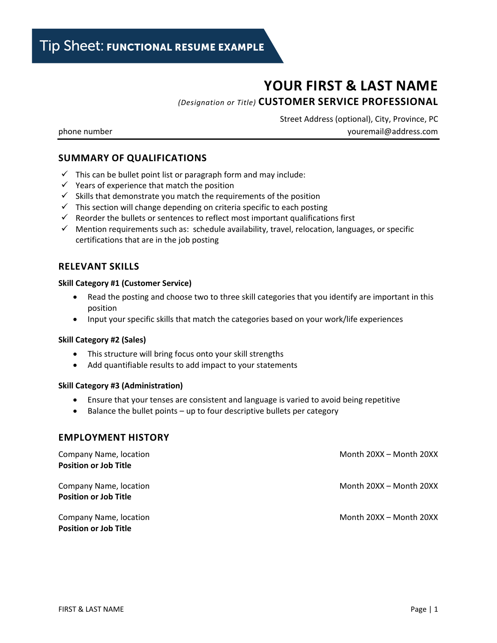# **YOUR FIRST & LAST NAME**

*(Designation or Title)* **CUSTOMER SERVICE PROFESSIONAL**

Street Address (optional), City, Province, PC phone number [youremail@address.com](mailto:youremail@address.com)

## **SUMMARY OF QUALIFICATIONS**

- $\checkmark$  This can be bullet point list or paragraph form and may include:
- $\checkmark$  Years of experience that match the position
- $\checkmark$  Skills that demonstrate you match the requirements of the position
- $\checkmark$  This section will change depending on criteria specific to each posting
- $\checkmark$  Reorder the bullets or sentences to reflect most important qualifications first
- $\checkmark$  Mention requirements such as: schedule availability, travel, relocation, languages, or specific certifications that are in the job posting

## **RELEVANT SKILLS**

#### **Skill Category #1 (Customer Service)**

- Read the posting and choose two to three skill categories that you identify are important in this position
- Input your specific skills that match the categories based on your work/life experiences

#### **Skill Category #2 (Sales)**

- This structure will bring focus onto your skill strengths
- Add quantifiable results to add impact to your statements

#### **Skill Category #3 (Administration)**

- Ensure that your tenses are consistent and language is varied to avoid being repetitive
- Balance the bullet points up to four descriptive bullets per category

### **EMPLOYMENT HISTORY**

| Company Name, location<br><b>Position or Job Title</b> | Month 20XX - Month 20XX |
|--------------------------------------------------------|-------------------------|
| Company Name, location<br><b>Position or Job Title</b> | Month 20XX - Month 20XX |
| Company Name, location<br><b>Position or Job Title</b> | Month 20XX - Month 20XX |